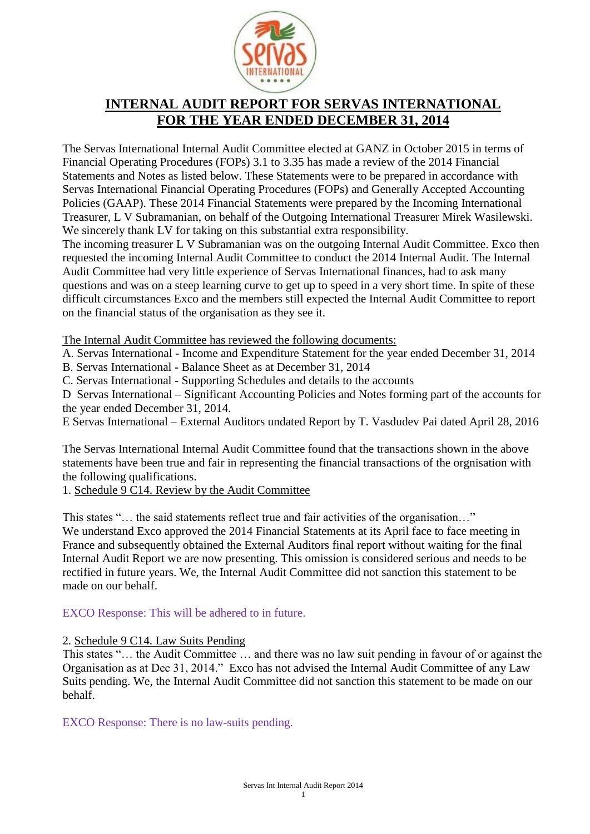

# **INTERNAL AUDIT REPORT FOR SERVAS INTERNATIONAL FOR THE YEAR ENDED DECEMBER 31, 2014**

The Servas International Internal Audit Committee elected at GANZ in October 2015 in terms of Financial Operating Procedures (FOPs) 3.1 to 3.35 has made a review of the 2014 Financial Statements and Notes as listed below. These Statements were to be prepared in accordance with Servas International Financial Operating Procedures (FOPs) and Generally Accepted Accounting Policies (GAAP). These 2014 Financial Statements were prepared by the Incoming International Treasurer, L V Subramanian, on behalf of the Outgoing International Treasurer Mirek Wasilewski. We sincerely thank LV for taking on this substantial extra responsibility.

The incoming treasurer L V Subramanian was on the outgoing Internal Audit Committee. Exco then requested the incoming Internal Audit Committee to conduct the 2014 Internal Audit. The Internal Audit Committee had very little experience of Servas International finances, had to ask many questions and was on a steep learning curve to get up to speed in a very short time. In spite of these difficult circumstances Exco and the members still expected the Internal Audit Committee to report on the financial status of the organisation as they see it.

The Internal Audit Committee has reviewed the following documents:

A. Servas International - Income and Expenditure Statement for the year ended December 31, 2014

B. Servas International - Balance Sheet as at December 31, 2014

C. Servas International - Supporting Schedules and details to the accounts

D Servas International – Significant Accounting Policies and Notes forming part of the accounts for the year ended December 31, 2014.

E Servas International – External Auditors undated Report by T. Vasdudev Pai dated April 28, 2016

The Servas International Internal Audit Committee found that the transactions shown in the above statements have been true and fair in representing the financial transactions of the orgnisation with the following qualifications.

1. Schedule 9 C14. Review by the Audit Committee

This states "… the said statements reflect true and fair activities of the organisation…"

We understand Exco approved the 2014 Financial Statements at its April face to face meeting in France and subsequently obtained the External Auditors final report without waiting for the final Internal Audit Report we are now presenting. This omission is considered serious and needs to be rectified in future years. We, the Internal Audit Committee did not sanction this statement to be made on our behalf.

## EXCO Response: This will be adhered to in future.

2. Schedule 9 C14. Law Suits Pending

This states "… the Audit Committee … and there was no law suit pending in favour of or against the Organisation as at Dec 31, 2014." Exco has not advised the Internal Audit Committee of any Law Suits pending. We, the Internal Audit Committee did not sanction this statement to be made on our behalf.

EXCO Response: There is no law-suits pending.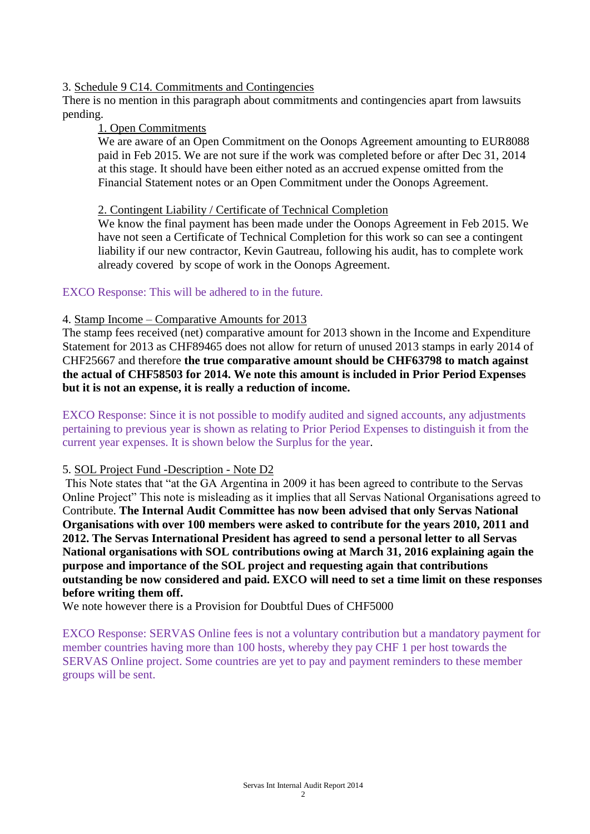#### 3. Schedule 9 C14. Commitments and Contingencies

There is no mention in this paragraph about commitments and contingencies apart from lawsuits pending.

#### 1. Open Commitments

We are aware of an Open Commitment on the Oonops Agreement amounting to EUR8088 paid in Feb 2015. We are not sure if the work was completed before or after Dec 31, 2014 at this stage. It should have been either noted as an accrued expense omitted from the Financial Statement notes or an Open Commitment under the Oonops Agreement.

#### 2. Contingent Liability / Certificate of Technical Completion

We know the final payment has been made under the Oonops Agreement in Feb 2015. We have not seen a Certificate of Technical Completion for this work so can see a contingent liability if our new contractor, Kevin Gautreau, following his audit, has to complete work already covered by scope of work in the Oonops Agreement.

## EXCO Response: This will be adhered to in the future.

## 4. Stamp Income – Comparative Amounts for 2013

The stamp fees received (net) comparative amount for 2013 shown in the Income and Expenditure Statement for 2013 as CHF89465 does not allow for return of unused 2013 stamps in early 2014 of CHF25667 and therefore **the true comparative amount should be CHF63798 to match against the actual of CHF58503 for 2014. We note this amount is included in Prior Period Expenses but it is not an expense, it is really a reduction of income.** 

EXCO Response: Since it is not possible to modify audited and signed accounts, any adjustments pertaining to previous year is shown as relating to Prior Period Expenses to distinguish it from the current year expenses. It is shown below the Surplus for the year.

#### 5. SOL Project Fund -Description - Note D2

This Note states that "at the GA Argentina in 2009 it has been agreed to contribute to the Servas Online Project" This note is misleading as it implies that all Servas National Organisations agreed to Contribute. **The Internal Audit Committee has now been advised that only Servas National Organisations with over 100 members were asked to contribute for the years 2010, 2011 and 2012. The Servas International President has agreed to send a personal letter to all Servas National organisations with SOL contributions owing at March 31, 2016 explaining again the purpose and importance of the SOL project and requesting again that contributions outstanding be now considered and paid. EXCO will need to set a time limit on these responses before writing them off.**

We note however there is a Provision for Doubtful Dues of CHF5000

EXCO Response: SERVAS Online fees is not a voluntary contribution but a mandatory payment for member countries having more than 100 hosts, whereby they pay CHF 1 per host towards the SERVAS Online project. Some countries are yet to pay and payment reminders to these member groups will be sent.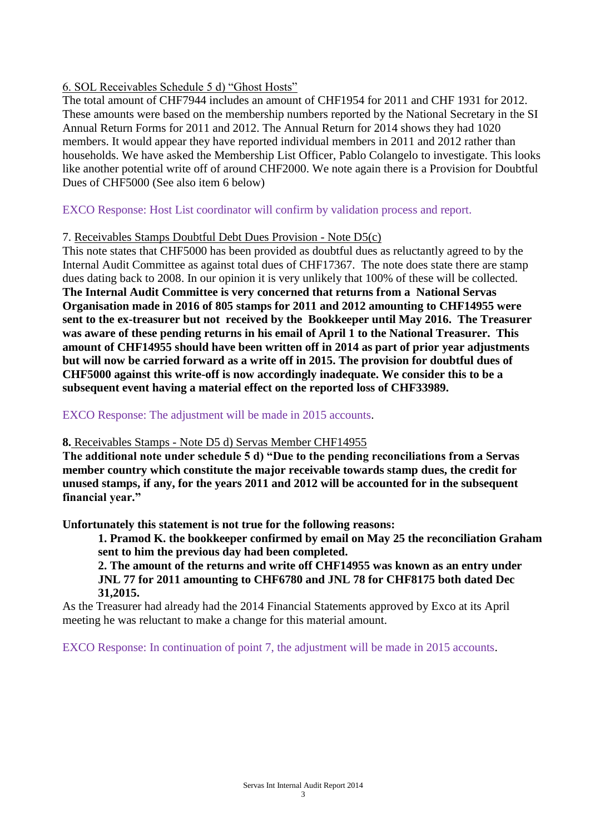## 6. SOL Receivables Schedule 5 d) "Ghost Hosts"

The total amount of CHF7944 includes an amount of CHF1954 for 2011 and CHF 1931 for 2012. These amounts were based on the membership numbers reported by the National Secretary in the SI Annual Return Forms for 2011 and 2012. The Annual Return for 2014 shows they had 1020 members. It would appear they have reported individual members in 2011 and 2012 rather than households. We have asked the Membership List Officer, Pablo Colangelo to investigate. This looks like another potential write off of around CHF2000. We note again there is a Provision for Doubtful Dues of CHF5000 (See also item 6 below)

EXCO Response: Host List coordinator will confirm by validation process and report.

## 7. Receivables Stamps Doubtful Debt Dues Provision - Note D5(c)

This note states that CHF5000 has been provided as doubtful dues as reluctantly agreed to by the Internal Audit Committee as against total dues of CHF17367. The note does state there are stamp dues dating back to 2008. In our opinion it is very unlikely that 100% of these will be collected. **The Internal Audit Committee is very concerned that returns from a National Servas Organisation made in 2016 of 805 stamps for 2011 and 2012 amounting to CHF14955 were sent to the ex-treasurer but not received by the Bookkeeper until May 2016. The Treasurer was aware of these pending returns in his email of April 1 to the National Treasurer. This amount of CHF14955 should have been written off in 2014 as part of prior year adjustments but will now be carried forward as a write off in 2015. The provision for doubtful dues of CHF5000 against this write-off is now accordingly inadequate. We consider this to be a subsequent event having a material effect on the reported loss of CHF33989.** 

## EXCO Response: The adjustment will be made in 2015 accounts.

#### **8.** Receivables Stamps - Note D5 d) Servas Member CHF14955

**The additional note under schedule 5 d) "Due to the pending reconciliations from a Servas member country which constitute the major receivable towards stamp dues, the credit for unused stamps, if any, for the years 2011 and 2012 will be accounted for in the subsequent financial year."**

**Unfortunately this statement is not true for the following reasons:**

**1. Pramod K. the bookkeeper confirmed by email on May 25 the reconciliation Graham sent to him the previous day had been completed.** 

**2. The amount of the returns and write off CHF14955 was known as an entry under JNL 77 for 2011 amounting to CHF6780 and JNL 78 for CHF8175 both dated Dec 31,2015.**

As the Treasurer had already had the 2014 Financial Statements approved by Exco at its April meeting he was reluctant to make a change for this material amount.

EXCO Response: In continuation of point 7, the adjustment will be made in 2015 accounts.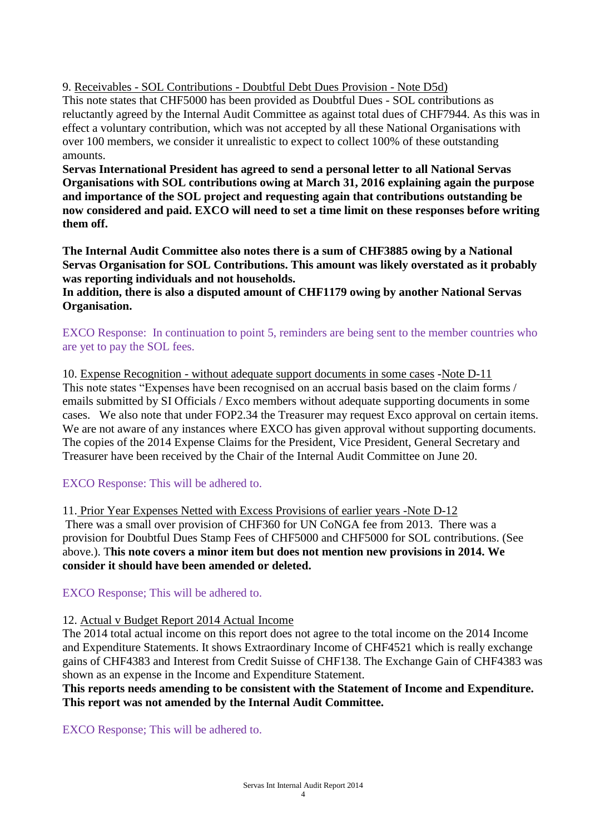9. Receivables - SOL Contributions - Doubtful Debt Dues Provision - Note D5d)

This note states that CHF5000 has been provided as Doubtful Dues - SOL contributions as reluctantly agreed by the Internal Audit Committee as against total dues of CHF7944. As this was in effect a voluntary contribution, which was not accepted by all these National Organisations with over 100 members, we consider it unrealistic to expect to collect 100% of these outstanding amounts.

**Servas International President has agreed to send a personal letter to all National Servas Organisations with SOL contributions owing at March 31, 2016 explaining again the purpose and importance of the SOL project and requesting again that contributions outstanding be now considered and paid. EXCO will need to set a time limit on these responses before writing them off.**

**The Internal Audit Committee also notes there is a sum of CHF3885 owing by a National Servas Organisation for SOL Contributions. This amount was likely overstated as it probably was reporting individuals and not households.** 

**In addition, there is also a disputed amount of CHF1179 owing by another National Servas Organisation.** 

EXCO Response: In continuation to point 5, reminders are being sent to the member countries who are yet to pay the SOL fees.

10. Expense Recognition - without adequate support documents in some cases -Note D-11 This note states "Expenses have been recognised on an accrual basis based on the claim forms / emails submitted by SI Officials / Exco members without adequate supporting documents in some cases. We also note that under FOP2.34 the Treasurer may request Exco approval on certain items. We are not aware of any instances where EXCO has given approval without supporting documents. The copies of the 2014 Expense Claims for the President, Vice President, General Secretary and Treasurer have been received by the Chair of the Internal Audit Committee on June 20.

EXCO Response: This will be adhered to.

11. Prior Year Expenses Netted with Excess Provisions of earlier years -Note D-12 There was a small over provision of CHF360 for UN CoNGA fee from 2013. There was a provision for Doubtful Dues Stamp Fees of CHF5000 and CHF5000 for SOL contributions. (See above.). T**his note covers a minor item but does not mention new provisions in 2014. We consider it should have been amended or deleted.** 

EXCO Response; This will be adhered to.

## 12. Actual v Budget Report 2014 Actual Income

The 2014 total actual income on this report does not agree to the total income on the 2014 Income and Expenditure Statements. It shows Extraordinary Income of CHF4521 which is really exchange gains of CHF4383 and Interest from Credit Suisse of CHF138. The Exchange Gain of CHF4383 was shown as an expense in the Income and Expenditure Statement.

**This reports needs amending to be consistent with the Statement of Income and Expenditure. This report was not amended by the Internal Audit Committee.** 

EXCO Response; This will be adhered to.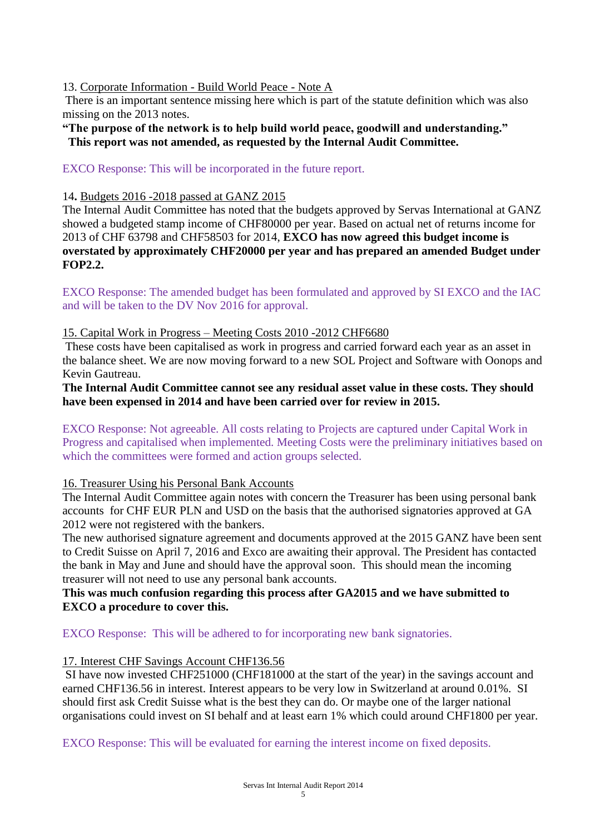## 13. Corporate Information - Build World Peace - Note A

There is an important sentence missing here which is part of the statute definition which was also missing on the 2013 notes.

**"The purpose of the network is to help build world peace, goodwill and understanding." This report was not amended, as requested by the Internal Audit Committee.** 

EXCO Response: This will be incorporated in the future report.

#### 14**.** Budgets 2016 -2018 passed at GANZ 2015

The Internal Audit Committee has noted that the budgets approved by Servas International at GANZ showed a budgeted stamp income of CHF80000 per year. Based on actual net of returns income for 2013 of CHF 63798 and CHF58503 for 2014, **EXCO has now agreed this budget income is overstated by approximately CHF20000 per year and has prepared an amended Budget under FOP2.2.**

EXCO Response: The amended budget has been formulated and approved by SI EXCO and the IAC and will be taken to the DV Nov 2016 for approval.

## 15. Capital Work in Progress – Meeting Costs 2010 -2012 CHF6680

These costs have been capitalised as work in progress and carried forward each year as an asset in the balance sheet. We are now moving forward to a new SOL Project and Software with Oonops and Kevin Gautreau.

## **The Internal Audit Committee cannot see any residual asset value in these costs. They should have been expensed in 2014 and have been carried over for review in 2015.**

EXCO Response: Not agreeable. All costs relating to Projects are captured under Capital Work in Progress and capitalised when implemented. Meeting Costs were the preliminary initiatives based on which the committees were formed and action groups selected.

#### 16. Treasurer Using his Personal Bank Accounts

The Internal Audit Committee again notes with concern the Treasurer has been using personal bank accounts for CHF EUR PLN and USD on the basis that the authorised signatories approved at GA 2012 were not registered with the bankers.

The new authorised signature agreement and documents approved at the 2015 GANZ have been sent to Credit Suisse on April 7, 2016 and Exco are awaiting their approval. The President has contacted the bank in May and June and should have the approval soon. This should mean the incoming treasurer will not need to use any personal bank accounts.

## **This was much confusion regarding this process after GA2015 and we have submitted to EXCO a procedure to cover this.**

EXCO Response: This will be adhered to for incorporating new bank signatories.

## 17. Interest CHF Savings Account CHF136.56

SI have now invested CHF251000 (CHF181000 at the start of the year) in the savings account and earned CHF136.56 in interest. Interest appears to be very low in Switzerland at around 0.01%. SI should first ask Credit Suisse what is the best they can do. Or maybe one of the larger national organisations could invest on SI behalf and at least earn 1% which could around CHF1800 per year.

EXCO Response: This will be evaluated for earning the interest income on fixed deposits.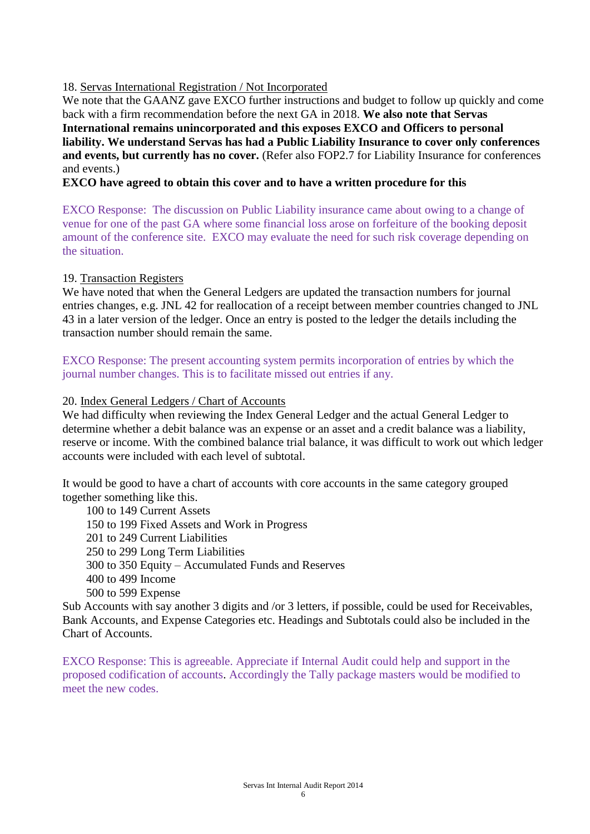## 18. Servas International Registration / Not Incorporated

We note that the GAANZ gave EXCO further instructions and budget to follow up quickly and come back with a firm recommendation before the next GA in 2018. **We also note that Servas International remains unincorporated and this exposes EXCO and Officers to personal liability. We understand Servas has had a Public Liability Insurance to cover only conferences and events, but currently has no cover.** (Refer also FOP2.7 for Liability Insurance for conferences and events.)

## **EXCO have agreed to obtain this cover and to have a written procedure for this**

EXCO Response: The discussion on Public Liability insurance came about owing to a change of venue for one of the past GA where some financial loss arose on forfeiture of the booking deposit amount of the conference site. EXCO may evaluate the need for such risk coverage depending on the situation.

#### 19. Transaction Registers

We have noted that when the General Ledgers are updated the transaction numbers for journal entries changes, e.g. JNL 42 for reallocation of a receipt between member countries changed to JNL 43 in a later version of the ledger. Once an entry is posted to the ledger the details including the transaction number should remain the same.

EXCO Response: The present accounting system permits incorporation of entries by which the journal number changes. This is to facilitate missed out entries if any.

## 20. Index General Ledgers / Chart of Accounts

We had difficulty when reviewing the Index General Ledger and the actual General Ledger to determine whether a debit balance was an expense or an asset and a credit balance was a liability, reserve or income. With the combined balance trial balance, it was difficult to work out which ledger accounts were included with each level of subtotal.

It would be good to have a chart of accounts with core accounts in the same category grouped together something like this.

 100 to 149 Current Assets 150 to 199 Fixed Assets and Work in Progress 201 to 249 Current Liabilities 250 to 299 Long Term Liabilities 300 to 350 Equity – Accumulated Funds and Reserves 400 to 499 Income 500 to 599 Expense

Sub Accounts with say another 3 digits and /or 3 letters, if possible, could be used for Receivables, Bank Accounts, and Expense Categories etc. Headings and Subtotals could also be included in the Chart of Accounts.

EXCO Response: This is agreeable. Appreciate if Internal Audit could help and support in the proposed codification of accounts. Accordingly the Tally package masters would be modified to meet the new codes.